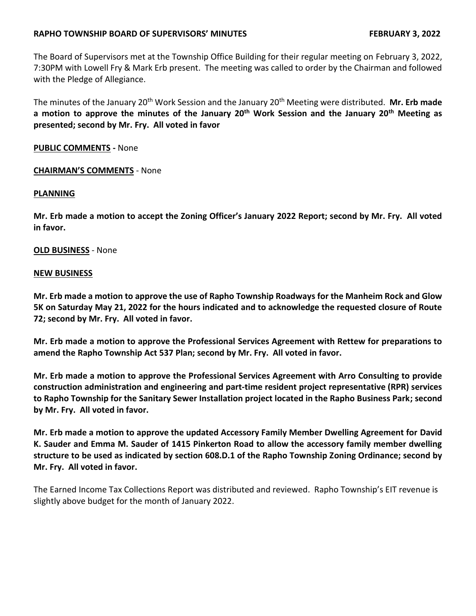# **RAPHO TOWNSHIP BOARD OF SUPERVISORS' MINUTES FEBRUARY 3, 2022**

The Board of Supervisors met at the Township Office Building for their regular meeting on February 3, 2022, 7:30PM with Lowell Fry & Mark Erb present. The meeting was called to order by the Chairman and followed with the Pledge of Allegiance.

The minutes of the January 20th Work Session and the January 20th Meeting were distributed. **Mr. Erb made a motion to approve the minutes of the January 20th Work Session and the January 20th Meeting as presented; second by Mr. Fry. All voted in favor**

# **PUBLIC COMMENTS -** None

### **CHAIRMAN'S COMMENTS** - None

### **PLANNING**

**Mr. Erb made a motion to accept the Zoning Officer's January 2022 Report; second by Mr. Fry. All voted in favor.**

### **OLD BUSINESS** - None

### **NEW BUSINESS**

**Mr. Erb made a motion to approve the use of Rapho Township Roadways for the Manheim Rock and Glow 5K on Saturday May 21, 2022 for the hours indicated and to acknowledge the requested closure of Route 72; second by Mr. Fry. All voted in favor.**

**Mr. Erb made a motion to approve the Professional Services Agreement with Rettew for preparations to amend the Rapho Township Act 537 Plan; second by Mr. Fry. All voted in favor.**

**Mr. Erb made a motion to approve the Professional Services Agreement with Arro Consulting to provide construction administration and engineering and part-time resident project representative (RPR) services to Rapho Township for the Sanitary Sewer Installation project located in the Rapho Business Park; second by Mr. Fry. All voted in favor.**

**Mr. Erb made a motion to approve the updated Accessory Family Member Dwelling Agreement for David K. Sauder and Emma M. Sauder of 1415 Pinkerton Road to allow the accessory family member dwelling structure to be used as indicated by section 608.D.1 of the Rapho Township Zoning Ordinance; second by Mr. Fry. All voted in favor.** 

The Earned Income Tax Collections Report was distributed and reviewed. Rapho Township's EIT revenue is slightly above budget for the month of January 2022.